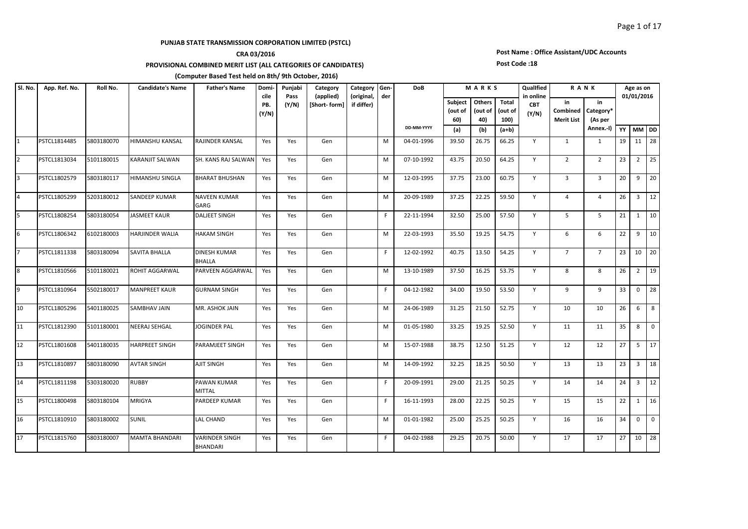## **CRA 03/2016**

**PROVISIONAL COMBINED MERIT LIST (ALL CATEGORIES OF CANDIDATES)** 

#### **(Computer Based Test held on 8th/ 9th October, 2016)**

#### **Subject (out of 60) Others (out of 40) Total (out of 100) (a) (b) (a+b) YY MM DD** 1 PSTCL1814485 5803180070 |HIMANSHU<code>KANSAL RAJINDER</code> KANSAL | Yes | Yes | Gen | | | | | | 04-01-1996 | 39.50 | 26.75 | 66.25 | Y | 1 | 1 | 19 | 11 | 28 2 PSTCL1813034 5101180015 |KARANJIT SALWAN |SH. KANS RAJ SALWAN| Yes | Gen | | | |M | 07-10-1992 | 43.75 | 20.50 | 64.25 | Y | 2 | 2 | 23 | 2 | 25 3 PSTCL1802579 5803180117 HIMANSHU<code>SINGLA BHARAT</code>BHUSHAN Yes Yes Gen M 12-03-1995 37.75 23.00 60.75 Y 3 3 3 20 9 20 PSTCL1805299 5203180012 SANDEEP KUMAR NAVEEN KUMAR GARG Yes Yes Gen M 20-09-1989 37.25 22.25 59.50 Y 4 4 26 3 12 5 PSTCL1808254 S803180054 JASMEET KAUR | DALJEET SINGH | Yes | Yes | Gen | | | | | 22-11-1994 | 32.50 | 25.00 | 57.50 | Y | 5 | 5 | 21 | 1 | 10 6 PSTCL1806342 6102180003 HARJINDER WALIA HAKAM SINGH Yes Yes Gen M 22-03-1993 35.50 19.25 54.75 Y 6 6 6 22 9 10 PSTCL1811338 5803180094 SAVITA BHALLA DINESH KUMAR BHALLA Yes Yes Gen F 12-02-1992 40.75 13.50 54.25 Y 7 7 23 10 20 8 PSTCL1810566 5101180021 ROHIT AGGARWAL PARVEEN AGGARWAL│Yes │Yes │Gen │ │M │13-10-1989 │37.50 │16.25 │53.75 │Y │ 8 │8 │26│2 │19 9 PSTCL1810964 5502180017 MANPREET KAUR GURNAM SINGH Yes Yes Gen F F 04-12-1982 34.00 19.50 53.50 Y 9 9 33 0 28 10 PSTCL1805296 5401180025 SAMBHAVJAIN MR. ASHOKJAIN Yes Yes Gen M M 24-06-1989 31.25 21.50 52.75 Y 10 10 26 6 8 11 PSTCL1812390 5101180001 NEERAJ<code>SEHGAL |</code>JOGINDER<code>PAL |</code>Yes | Yes | Gen | M | 01-05-1980 | 33.25 | 19.25 | 52.50 | Y | 11 | 11 | 35 | 8 | 0 12 PSTCL1801608 5401180035 HARPREET SINGH PARAMJEET SINGH Yes Yes Gen M 15-07-1988 38.75 12.50 51.25 Y 12 12 27 5 17 13 PSTCL1810897 5803180090 AVTAR SINGH AJIT SINGH Yes Yes Gen M 14-09-1992 32.25 18.25 50.50 Y 13 13 23 3 18 14 PSTCL1811198 5303180020 RUBBY PAWAN KUMAR MITTAL Yes | Yes | Gen | | | | | 20-09-1991 | 29.00 | 21.25 | 50.25 | Y | 14 | 14 | | 24 | 3 | 12 15 PSTCL1800498 5803180104 MRIGYA PARDEEP KUMAR | Yes | Yes | Gen | | | F | 16-11-1993 | 28.00 | 22.25 | 50.25 | Y | 15 | 15 | 22 | 1 | 16 16 PSTCL1810910 5803180002 SUNIL LAL CHAND Yes Yes Gen M 01-01-1982 25.00 25.25 50.25 Y 16 16 34 0 0 17 PSTCL1815760 5803180007 MAMTA BHANDARI VARINDER SINGH BHANDARI Yes | Yes | Gen | | | | 04-02-1988 | 29.25 | 20.75 | 50.00 | Y | | 17 | | 17 | | 27 | 10 | 28 **Candidate's Name Father's Name Domicile PB. (Y/N) Father's Name Domi-** Punjabi **Pass (Y/N) R A N K Age as on 01/01/2016 in Combined Merit List in Category\* (As per Annex.-I) Category (applied) [Short- form] Category (original, if differ) Gender DoB DD-MM-YYYY M A R K S QualIfied in online CBT (Y/N) Sl. No. App. Ref. No. Roll No.**

### **Post Name : Office Assistant/UDC Accounts**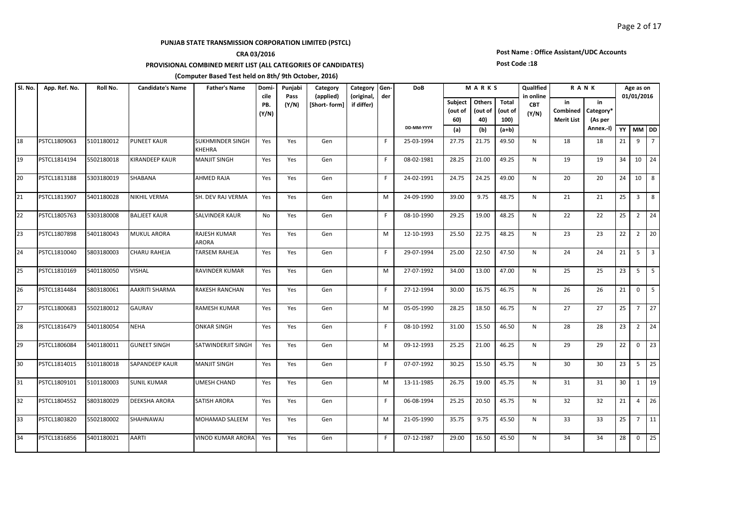## **CRA 03/2016**

**PROVISIONAL COMBINED MERIT LIST (ALL CATEGORIES OF CANDIDATES)** 

#### **(Computer Based Test held on 8th/ 9th October, 2016)**

#### **Subject (out of 60) Others (out of 40) Total (out of 100) (a) (b) (a+b) YY MM DD Candidate's Name Father's Name Domicile PB. (Y/N) Father's Name Domi- Punjabi Pass (Y/N) R A N K Age as on 01/01/2016 in Combined Merit List in Category\* (As per Annex.-I) Category (applied) [Short- form] Category (original, if differ) Gender DoB DD-MM-YYYY M A R K S QualIfied in online CBT (Y/N) Sl. No. App. Ref. No. Roll No.** 18 PSTCL1809063 5101180012 PUNEET KAUR SUKHMINDER SINGH KHEHRA Yes | Yes | Gen | | | | | 25-03-1994 | 27.75 | 21.75 | 49.50 | N | | 18 | | 18 | 21 | 9 | 7 19 PSTCL1814194 5502180018 KIRANDEEP KAUR MANJIT SINGH Yes Yes Gen F 08-02-1981 28.25 21.00 49.25 N 19 19 34 10 24 20 PSTCL1813188 5303180019 SHABANA AHMED RAJA | Yes | Yes | Gen | | F | 24-02-1991 | 24.75 | 24.25 | 49.00 | N | 20 | 20 | 24 | 10 | 8 21 PSTCL1813907 5401180028 NIKHIL VERMA SH. DEV RAJ VERMA Yes Yes Gen M M 24-09-1990 39.00 9.75 | 48.75 N 21 21 21 25 | 3 |8 22 PSTCL1805763 5303180008 BALJEET KAUR SALVINDER KAUR No Yes Gen F F 08-10-1990 29.25 19.00 48.25 N 22 22 25 2 24 23 PSTCL1807898 5401180043 MUKUL ARORA RAJESH KUMAR ARORA Yes Yes Gen M 12-10-1993 25.50 22.75 48.25 N 23 23 22 2 20 24 PSTCL1810040 5803180003 CHARU RAHEJA TARSEM RAHEJA Yes Yes Gen F 29-07-1994 25.00 22.50 47.50 N 24 24 21 5 3 25 PSTCL1810169 5401180050 VISHAL RAVINDER KUMAR Yes Yes Gen | M 27-07-1992 34.00 13.00 147.00 N | 25 | 23 | 5 | 5 26 PSTCL1814484 5803180061 AAKRITI SHARMA RAKESH RANCHAN Yes Yes Gen | F| 27-12-1994 30.00 16.75 | 46.75 | N | 26 | 26 | 21 | 0 | 5 27 PSTCL1800683 5502180012 GAURAV RAMESH KUMAR | Yes | Yes | Gen | | M | 05-05-1990 | 28.25 | 18.50 | 46.75 | N | 27 | 27 | 25 | 7 | 27 28 PSTCL1816479 5401180054 NEHA ONKAR<code>SINGH |</code> Yes Yes Gen | | | | 08-10-1992 | 31.00 | 15.50 |<code>46.50</code> | N | 28 | 28 | 23 | 2 | 24 29 PSTCL1806084 5401180011 GUNEET SINGH SATWINDERJIT SINGH | Yes | Gen | | M | 09-12-1993 | 25.25 | 21.00 | 46.25 | N | 29 | 29 | 22 | 0 | 23 30 PSTCL1814015 5101180018 SAPANDEEP\_KAUR |MANJIT\_SINGH | Yes | Yes | Gen | | | F | 07-07-1992 | 30.25 | 15.50 | 45.75 | N | 30 | 30 | 23 | 5 | 25 31 PSTCL1809101 5101180003 SUNIL KUMAR UMESH CHAND Yes Yes Gen M 13-11-1985 26.75 19.00 45.75 N 31 31 31 30 1 19 32 PSTCL1804552 5803180029 DEEKSHA ARORA SATISH ARORA Yes Yes Gen F F 06-08-1994 25.25 20.50 45.75 N 32 32 32 4 32 33 PSTCL1803820 5502180002 SHAHNAWAJ MOHAMAD<code>SALEEM Yes Yes Gen | | | M | 21-05-1990 | 35.75 | 45.50 | N | 33 | 33 | 25 | 7 | 11</code> 34 PSTCL1816856 5401180021 AARTI VINOD KUMAR ARORA Yes Yes Gen | | F 07-12-1987 |29.00 |16.50 |45.50 N | 34 | 34 |28 |0 |25

### **Post Name : Office Assistant/UDC Accounts**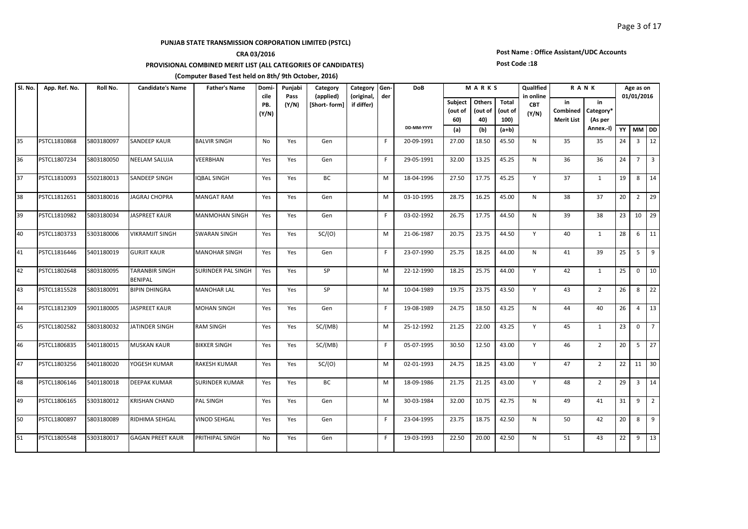## **CRA 03/2016**

**PROVISIONAL COMBINED MERIT LIST (ALL CATEGORIES OF CANDIDATES)** 

#### **(Computer Based Test held on 8th/ 9th October, 2016)**

#### **Subject (out of 60) Others (out of 40) Total (out of 100) (a) (b) (a+b) YY MM DD Candidate's Name Father's Name Domicile PB. (Y/N) Father's Name Domi- Punjabi Pass (Y/N) R A N K Age as on 01/01/2016 in Combined Merit List in Category\* (As per Annex.-I) Category (applied) [Short- form] Category (original, if differ) Gender DoB DD-MM-YYYY M A R K S QualIfied in online CBT (Y/N) Sl. No. App. Ref. No. Roll No.** 35 PSTCL1810868 5803180097 SANDEEP KAUR BALVIR SINGH No Yes Gen F F 20-09-1991 27.00 18.50 145.50 N 35 35 24 3 122 36 PSTCL1807234 5803180050 NEELAM SALUJA | VEERBHAN | Yes | Yes | Gen | | | | | | 29-05-1991 | 32.00 | 13.25 | 83.25 | | N | | 36 | 36 | 24 | 7 | 3 37 PSTCL1810093 5502180013 SANDEEP SINGH |IQBAL SINGH | Yes | Yes | BC | | | M | 18-04-1996 | 27.50 | 17.75 | 45.25 | Y | 37 | 1 | 19 | 8 | 14 38 PSTCL1812651 5803180016 JAGRAJ<code>CHOPRA MANGAT</code> RAM Yes Yes Gen M 03-10-1995 28.75 16.25 45.00 N 38 37 20 2 29 39 PSTCL1810982 5803180034 JASPREET KAUR MANMOHAN SINGH Yes Yes Gen | | | F | 03-02-1992 | 26.75 | 17.75 | 44.50 | N | 39 | 38 |23 |10 |29 40 PSTCL1803733 5303180006 VIKRAMJIT SINGH SWARAN SINGH Yes Yes SC/(O) M M 21-06-1987 20.75 23.75 44.50 Y 40 1 1 28 6 11 41 PSTCL1816446 5401180019 GURJIT<code>KAUR MANOHAR</code> SINGH Yes Yes Gen F F 23-07-1990 25.75 18.25 44.00 N 41 39 25 5 9 42 PSTCL1802648 5803180095 TARANBIR SINGH **BENIPAL** SURINDER PAL SINGH Yes Yes SP M 22-12-1990 18.25 25.75 44.00 Y 42 1 25 0 10 43 PSTCL1815528 5803180091 BIPIN DHINGRA MANOHAR LAL Yes Yes SP M M 10-04-1989 19.75 23.75 43.50 Y 43 2 26 8 22 44 PSTCL1812309 5901180005 JASPREET KAUR MOHAN SINGH Yes Yes Gen F 19-08-1989 24.75 18.50 43.25 N 44 40 26 4 13 45 PSTCL1802582 S803180032 JJATINDER SINGH RAM SINGH Yes Yes SC/(MB) | M 25-12-1992 21.25 22.00 43.25 Y | 45 | 1 23 0 7 46 PSTCL1806835 5401180015 MUSKAN KAUR BIKKER SINGH Yes Yes SC/(MB) F 05-07-1995 30.50 12.50 43.00 Y 46 2 20 5 27 47 PSTCL1803256 5401180020 YOGESH KUMAR RAKESH KUMAR Yes Yes SC/(O) M M 02-01-1993 24.75 18.25 18.25 43.00 Y 47 2 22 11 30 48 PSTCL1806146 5401180018 DEEPAK KUMAR SURINDER KUMAR Yes Yes BC M 18-09-1986 21.75 21.25 43.00 Y 48 2 29 3 14 49 PSTCL1806165 5303180012 KRISHAN CHAND PAL SINGH | Yes | Yes | Gen | M | 30-03-1984 | 32.00 | 10.75 | 42.75 | N | 49 | 41 | 31 | 9 | 2 50 PSTCL1800897 S803180089 RIDHIMA SEHGAL |VINOD SEHGAL | Yes | Yes | Gen | | | | | 23-04-1995 | 23.75 | 18.75 | 42.50 | N | 50 | 42 |20|8 |9 51 PSTCL1805548 5303180017 GAGAN PREET KAUR PRITHIPAL SINGH No Yes Gen F 19-03-1993 22.50 20.00 42.50 N 51 43 22 9 13

# **Post Name : Office Assistant/UDC Accounts**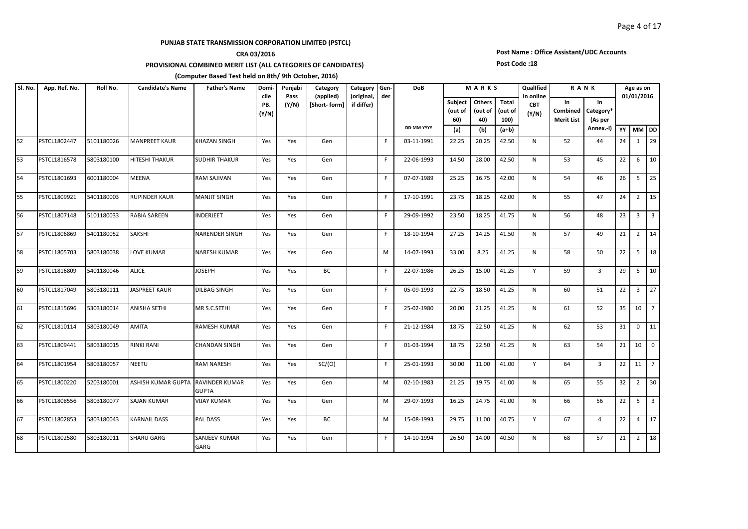## **CRA 03/2016**

**PROVISIONAL COMBINED MERIT LIST (ALL CATEGORIES OF CANDIDATES)** 

#### **(Computer Based Test held on 8th/ 9th October, 2016)**

#### **Subject (out of 60) Others (out of 40) Total (out of 100) (a) (b) (a+b) YY MM DD Candidate's Name Father's Name Domicile PB. (Y/N) Father's Name Domi- Punjabi Pass (Y/N) R A N K Age as on 01/01/2016 in Combined Merit List in Category\* (As per Annex.-I) Category (applied) [Short- form] Category (original, if differ) Gender DoB DD-MM-YYYY M A R K S QualIfied in online CBT (Y/N) Sl. No. App. Ref. No. Roll No.** 52 PSTCL1802447 5101180026 MANPREET KAUR KHAZAN SINGH Yes Yes Gen F F 03-11-1991 22.25 20.25 42.50 N 52 44 24 1 29 53 PSTCL1816578 5803180100 HITESHITHAKUR SUDHIRTHAKUR Yes Yes Gen | | F 22-06-1993 |14.50 |28.00 |42.50 | N | 53 | 45 |22 | 6 |10 54 PSTCL1801693 6001180004 MEENA RAM SAJIVAN | Yes | Yes | Gen | | F | 07-07-1989 | 25.25 | 16.75 | 42.00 | N | 54 | 46 | 26 | 5 | 25 55 PSTCL1809921 5401180003 RUPINDER KAUR MANJIT SINGH Yes Yes Gen F 17-10-1991 23.75 18.25 42.00 N 55 47 24 2 15 56 PSTCL1807148 5101180033 RABIA SAREEN |INDERJEET |Yes Yes Gen | |F |29-09-1992 |23.50 |18.25 |41.75 | N | 56 | 48 |23 |3 |3 57 PSTCL1806869 5401180052 SAKSHI NARENDER<code>SINGH</code> Yes Yes Gen F F 18-10-1994 27.25 14.25 14.25 N 57 149 21 2 14 58 PSTCL1805703 S803180038 LOVE KUMAR NARESH KUMAR Yes Yes Gen M 14-07-1993 33.00 8.25 41.25 N 58 50 22 5 18 59 PSTCL1816809 5401180046 ALICE JIOSEPH Yes Yes BC | F 22-07-1986 26.25 15.00 41.25 | Y | 59 | 3 |29 5 |10 60 PSTCL1817049 5803180111 JIASPREET KAUR DILBAG SINGH | Yes | Yes | Gen | | | F | 05-09-1993 | 22.75 | 18.50 | 41.25 | N | 60 | 51 |22 | 3 |27 61 PSTCL1815696 5303180014 ANISHA SETHI MR S.C.SETHI Yes Yes Gen | F|25-02-1980 20.00 21.25 |41.25 N | 61 | 52 |35 |10 |7 62 PSTCL1810114 5803180049 AMITA RAMESH KUMAR | Yes | Yes | Gen | | | F | 21-12-1984 | 18.75 | 22.50 | 41.25 | N | 62 | 53 | 31 | 0 | 11 63 PSTCL1809441 5803180015 RINKI RANI CHANDAN SINGH | Yes | Yes | Gen | |F | 01-03-1994 | 18.75 | 22.50 | 41.25 |  N |  63 |  54 | 21 | 10 | 0 64 PSTCL1801954 5803180057 NEETU RAM NARESH | Yes | Yes | SC/(O) | |F | 25-01-1993 | 30.00 | 11.00 | 41.00 | Y | 64 | 3 |22 |11 |7 65 PSTCL1800220 5203180001 ASHISH KUMAR GUPTA RAVINDER KUMAR **GUPTA** Yes | Yes | Gen | | | | | | 02-10-1983 | 21.25 | 19.75 | 41.00 | N | 65 | 55 | 32 | 2 | 30 66 PSTCL1808556 5803180077 SAJAN KUMAR | VIJAY KUMAR | Yes | Yes | Gen | | | M | 29-07-1993 | 16.25 | 24.75 | 41.00 | N | 66 | 56 |22 | 5 |3 67 PSTCL1802853 5803180043 KARNAIL DASS PAL DASS | Yes | Yes | BC | | | M | 15-08-1993 | 29.75 | 11.00 | 40.75 | Y | 67 | 4 |22 | 4 |17 68 PSTCL1802580 5803180011 SHARU GARG SANJEEV KUMAR GARG Yes | Yes | Gen | | | | 14-10-1994 | 26.50 | 14.00 | 40.50 | N | | 68 | | 57 | 21 | 2 | 18

## **Post Name : Office Assistant/UDC Accounts Post Code :18**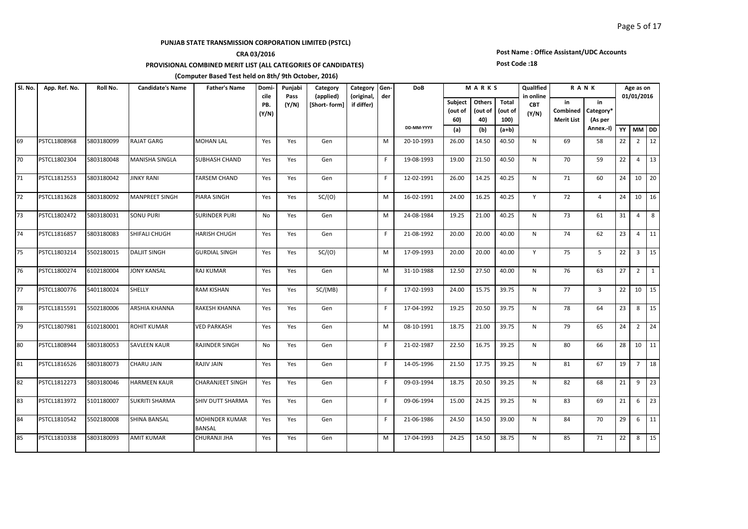## **CRA 03/2016**

**PROVISIONAL COMBINED MERIT LIST (ALL CATEGORIES OF CANDIDATES)** 

#### **(Computer Based Test held on 8th/ 9th October, 2016)**

#### **Subject (out of 60) Others (out of 40) Total (out of 100) (a) (b) (a+b) YY MM DD Candidate's Name Father's Name Domicile PB. (Y/N) Father's Name Domi- Punjabi Pass (Y/N) R A N K Age as on 01/01/2016 in Combined Merit List in Category\* (As per Annex.-I) Category (applied) [Short- form] Category (original, if differ) Gender DoB DD-MM-YYYY M A R K S QualIfied in online CBT (Y/N) Sl. No. App. Ref. No. Roll No.** 69 PSTCL1808968 5803180099 RAJATGARG MOHANLAL Yes Yes Gen | |M 20-10-1993 26.00 |14.50 |40.50 | N | 69 | 58 |22 |2 |12 70 PSTCL1802304 5803180048 MANISHA SINGLA SUBHASH CHAND Yes Yes Gen F F 19-08-1993 19.00 21.50 40.50 N 70 59 22 4 13 71 PSTCL1812553 5803180042 JINKY RANI TARSEM CHAND Yes Yes Gen F 12-02-1991 26.00 14.25 40.25 N 71 60 24 10 20 72 PSTCL1813628 5803180092 MANPREET SINGH PIARA SINGH Yes Yes SC/(O) M 16-02-1991 24.00 16.25 40.25 Y 72 4 24 10 16 73 PSTCL1802472 5803180031 SONU PURI SURINDER PURI | No | Yes | Gen |  | M | 24-08-1984 | 19.25 | 21.00 | 40.25 |  N |  73 |  61 | 31 | 4 | 8 74 PSTCL1816857 5803180083 SHIFALI CHUGH HARISH CHUGH Yes Yes Gen F 21-08-1992 20.00 20.00 40.00 N 74 62 23 4 11 75 PSTCL1803214 5502180015 DALJIT SINGH GURDIAL SINGH |Yes | Yes | SC/(O) | |M | 17-09-1993 |20.00 | 20.00 | 40.00 | Y | 75 | 5 |22 | 3 |15 76 PSTCL1800274 6102180004 JIONY KANSAL RAJ KUMAR Yes Yes Gen | M 31-10-1988 12.50 27.50 | 40.00 | N | 76 | 63 |27 | 2 | 1 77 PSTCL1800776 5401180024 SHELLY RAM KISHAN | Yes | Yes | SC/(MB) | | F | 17-02-1993 | 24.00 | 15.75 | 39.75 | N | 77 | 3 | 22 | 10 | 15 78 PSTCL1815591 5502180006 ARSHIA KHANNA RAKESH KHANNA Yes Yes Gen F 17-04-1992 19.25 20.50 39.75 N 78 64 23 8 15 79 PSTCL1807981 6102180001 ROHIT KUMAR VED PARKASH Yes Yes Gen M 08-10-1991 18.75 21.00 39.75 N 79 65 24 2 24 80 PSTCL1808944 5803180053 SAVLEEN KAUR RAJINDER SINGH No Yes Gen F F 21-02-1987 22.50 16.75 39.25 N 80 66 28 10 11 81 PSTCL1816526 5803180073 CHARUJAIN RAJIVJAIN Yes Yes Gen F F 14-05-1996 21.50 17.75 39.25 N 81 67 19 7 18 82 PSTCL1812273 5803180046 HARMEEN KAUR CHARANJEET SINGH Yes Yes Gen F F 09-03-1994 18.75 20.50 39.25 N 82 68 21 9 23 83 PSTCL1813972 5101180007 SUKRITISHARMA SHIV DUTT SHARMA Yes Yes Gen F F 09-06-1994 15.00 24.25 39.25 N 83 69 21 6 23 84 PSTCL1810542 5502180008 SHINA BANSAL MOHINDER KUMAR BANSAL Yes | Yes | Gen | | | | | 21-06-1986 | 24.50 | 14.50 | 39.00 | N | | 84 | | 70 | 29 | 6 | 11 85 PSTCL1810338 S803180093 AMIT KUMAR CHURANJIJHA | Yes | Yes | Gen | | | M | 17-04-1993 | 24.25 | 14.50 | 38.75 | N | 85 | 71 |22 | 8 |15

## **Post Name : Office Assistant/UDC Accounts**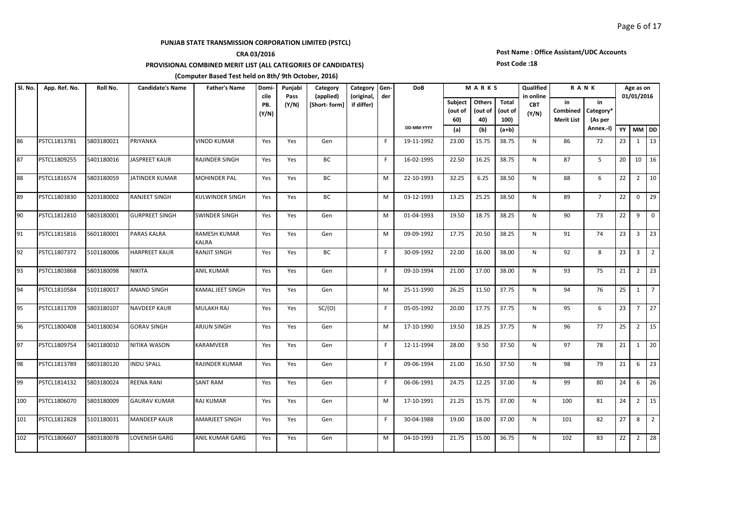## **CRA 03/2016**

**PROVISIONAL COMBINED MERIT LIST (ALL CATEGORIES OF CANDIDATES)** 

#### **(Computer Based Test held on 8th/ 9th October, 2016)**

#### **Subject (out of 60) Others (out of 40) Total (out of 100) (a) (b) (a+b) YY MM DD Candidate's Name Father's Name Domicile PB. (Y/N) Father's Name Domi- Punjabi Pass (Y/N) R A N K Age as on 01/01/2016 in Combined Merit List in Category\* (As per Annex.-I) Category (applied) [Short- form] Category (original, if differ) Gender DoB DD-MM-YYYY M A R K S QualIfied in online CBT (Y/N) Sl. No. App. Ref. No. Roll No.** 86 PSTCL1813781 5803180021 PRIYANKA |VINOD KUMAR | Yes | Yes | Gen | | | | | 19-11-1992 | 23.00 | 15.75 | 38.75 | N | 86 | 72 |23 | 1 |13 87 PSTCL1809255 5401180016 JASPREET KAUR RAJINDER SINGH Yes Yes BC | | | F | 16-02-1995 | 22.50 | 16.25 | 38.75 | N | 87 | 5 | 20 | 10 | 16 88 PSTCL1816574 5803180059 JIATINDER KUMAR MOHINDER PAL Yes Yes BC M 22-10-1993 32.25 6.25 8.50 N 88 6 22 2 10 89 PSTCL1803830 5203180002 RANJEET SINGH KULWINDER SINGH | Yes | Yes | BC | | M | 03-12-1993 | 13.25 | 25.25 | 38.50 | N | 89 | 7 | 22 | 0 | 29 90 PSTCL1812810 5803180001 GURPREET SINGH SWINDER SINGH Yes Yes Gen | M | 01-04-1993 | 19.50 | 18.75 | 38.25 | N | 90 | 73 |22 | 9 |0 91 PSTCL1815816 5601180001 PARAS KALRA RAMESH KUMAR KALRA Yes Yes Gen M 09-09-1992 17.75 20.50 38.25 N 91 74 23 3 23 92 PSTCL1807372 5101180006 HARPREET KAUR RANJIT SINGH | Yes | Yes | BC | |F | 30-09-1992 | 22.00 | 16.00 | 38.00 | N | 92 | 8 | 23 | 3 | 2 93 PSTCL1803868 5803180098 NIKITA ANIL KUMAR | Yes | Yes | Gen | |F | 09-10-1994 | 21.00 | 17.00 | 38.00 | N | 93 | 75 | 21 | 2 | 23 94 PSTCL1810584 5101180017 ANAND SINGH KAMAL JEET SINGH | Yes |  Yes |  Gen |  |  M |  25-11-1990 | 26.25 | 11.50 | 37.75 |  N |  94 |  76 | 25 |  1 | 7 95 PSTCL1811709 5803180107 NAVDEEP KAUR MULAKH RAJ Yes Yes SC/(O) | F | 05-05-1992 | 20.00 | 17.75 | 37.75 | N | 95 | 6 |23 | 7 |27 96 PSTCL1800408 5401180034 GORAV SINGH ARJUN SINGH Yes Yes Gen | |M | 17-10-1990 | 19.50 | 18.25 | 37.75 | N | 96 | 77 | 25 | 2 | 15 97 PSTCL1809754 5401180010 NITIKA WASON KARAMVEER Yes Yes Gen F 12-11-1994 28.00 9.50 37.50 N 97 78 21 1 20 98 PSTCL1813789 5803180120 INDU SPALL RAJINDER KUMAR | Yes | Yes | Gen | | F | 09-06-1994 | 21.00 | 16.50 | 37.50 | N | 98 | 79 | 21 | 6 | 23 99 PSTCL1814132 5803180024 REENA RANI SANT RAM Yes Yes Gen F 06-06-1991 24.75 12.25 37.00 N 99 80 24 6 26 100 PSTCL1806070 S803180009 GAURAV KUMAR RAJ KUMAR | Yes Yes | Gen | | | M | 17-10-1991 | 21.25 | 37.00 | N | 100 | 81 |24 | 2 |15 101 PSTCL1812828 5101180031 MANDEEP KAUR AMARJEET SINGH Yes Yes Gen | F| 30-04-1988 19.00 | 18.00 | 37.00 | N | 101 | 82 | 27 | 8 | 2 102 PSTCL1806607 5803180078 LOVENISH GARG ANIL KUMAR GARG Yes Yes Gen M M 04-10-1993 21.75 15.00 36.75 N 102 83 22 2 28

## **Post Name : Office Assistant/UDC Accounts**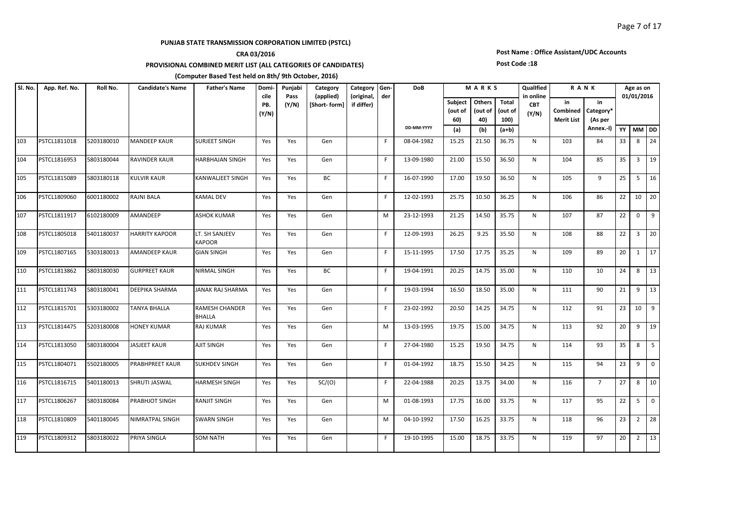## **CRA 03/2016**

**PROVISIONAL COMBINED MERIT LIST (ALL CATEGORIES OF CANDIDATES)** 

#### **(Computer Based Test held on 8th/ 9th October, 2016)**

#### **Subject (out of 60) Others (out of 40) Total (out of 100) (a) (b) (a+b) YY MM DD Candidate's Name Father's Name Domicile PB. (Y/N) Father's Name Domi- Punjabi Pass (Y/N) R A N K Age as on 01/01/2016 in Combined Merit List in Category\* (As per Annex.-I) Category (applied) [Short- form] Category (original, if differ) Gender DoB DD-MM-YYYY M A R K S QualIfied in online CBT (Y/N) Sl. No. App. Ref. No. Roll No.** 103 PSTCL1811018 5203180010 MANDEEP KAUR SURJEET SINGH Yes Yes Gen F 08-04-1982 15.25 21.50 36.75 N 103 84 33 8 24 104 PSTCL1816953 5803180044 RAVINDER KAUR HARBHAJAN SINGH Yes Yes Gen F 13-09-1980 21.00 15.50 36.50 N 104 85 35 3 19 105 PSTCL1815089 5803180118 KULVIR KAUR KANWALJEET SINGH Yes Yes BC F 16-07-1990 17.00 19.50 36.50 N 105 9 25 5 16 106 PSTCL1809060 6001180002 RAJNI BALA KAMAL DEV Yes Yes Gen F 12-02-1993 25.75 10.50 36.25 N 106 86 22 10 20 107 PSTCL1811917 |6102180009 |AMANDEEP ASHOK KUMAR | Yes | Gen | | M | 23-12-1993 | 21.25 | 14.50 | 35.75 | N | 107 | 87 | 22 | 0 | 9 108 PSTCL1805018 5401180037 HARRITY KAPOOR LT. SH SANJEEV KAPOOR Yes | Yes | Gen | | | | 12-09-1993 | 26.25 | 9.25 | 35.50 | N | 108 | 88 | 22 | 3 | 20 109 PSTCL1807165 5303180013 AMANDEEP KAUR GIAN SINGH Yes Yes Gen F F 15-11-1995 17.50 17.75 35.25 N 109 89 20 1 17 110 PSTCL1813862 5803180030 GURPREET KAUR NIRMAL SINGH Yes Yes BC F 19-04-1991 20.25 14.75 35.00 N 110 10 24 8 13 111 PSTCL1811743 5803180041 DEEPIKA SHARMA JANAK RAJ SHARMA Yes Yes Gen F 19-03-1994 16.50 18.50 35.00 N 111 90 21 9 13 112 PSTCL1815701 5303180002 TANYA BHALLA RAMESH CHANDER BHALLA Yes | Yes | Gen | | | | | 23-02-1992 | 20.50 | 14.25 | 34.75 | N | 112 | 91 | 23 | 10 | 9 113 PSTCL1814475 5203180008 HONEY KUMAR RAJ KUMAR Yes Yes Gen M 13-03-1995 19.75 15.00 34.75 N 113 92 20 9 19 114 PSTCL1813050 5803180004 JJASJEET KAUR | AJIT SINGH | Yes | Yes | Gen | | F | 27-04-1980 | 15.25 | 19.50 | 34.75 | N | 114 | 93 | 35 | 8 | 5 115 PSTCL1804071 5502180005 PRABHPREET KAUR SUKHDEV SINGH | Yes | Yes | Gen | | | | 01-04-1992 | 18.75 | 15.50 | 34.25 | N | 115 | 94 |23 | 9 |0 116 PSTCL1816715 5401180013 SHRUTI JASWAL HARMESH SINGH Yes Yes SC/(O) F 22-04-1988 20.25 13.75 34.00 N 116 7 27 8 10 117 PSTCL1806267 S803180084 PRABHJOT SINGH RANJIT SINGH | Yes | Yes | Gen | M | 01-08-1993 | 17.75 | 16.00 | 33.75 | N | 117 | 95 |22 | 5 |0 118 PSTCL1810809 5401180045 NIMRATPAL SINGH SWARN SINGH Yes Yes Gen M 04-10-1992 17.50 16.25 33.75 N 118 96 23 2 28 119 PSTCL1809312 5803180022 PRIYA SINGLA SOM NATH Yes Yes Gen F 19-10-1995 15.00 18.75 33.75 N 119 97 20 2 13

## **Post Name : Office Assistant/UDC Accounts**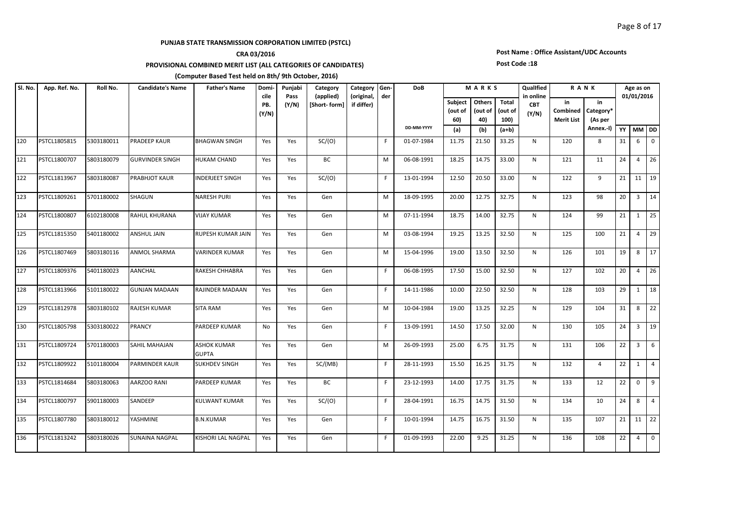## **CRA 03/2016**

**PROVISIONAL COMBINED MERIT LIST (ALL CATEGORIES OF CANDIDATES)** 

#### **(Computer Based Test held on 8th/ 9th October, 2016)**

#### **Subject (out of 60) Others (out of 40) Total (out of 100) (a) (b) (a+b) YY MM DD Candidate's Name Father's Name Domicile PB. (Y/N) Father's Name Domi- Punjabi Pass (Y/N) R A N K Age as on 01/01/2016 in Combined Merit List in Category\* (As per Annex.-I) Category (applied) [Short- form] Category (original, if differ) Gender DoB DD-MM-YYYY M A R K S QualIfied in online CBT (Y/N) Sl. No. App. Ref. No. Roll No.** 120 PSTCL1805815 5303180011 PRADEEP KAUR BHAGWAN SINGH Yes Yes SC/(O) | F|01-07-1984 11.75 21.50 33.25 N | 120 | 8 |31 | 6 |0 121 PSTCL1800707 5803180079 GURVINDER SINGH HUKAM CHAND Yes Yes BC M 06-08-1991 18.25 14.75 33.00 N 121 11 24 4 26 122 PSTCL1813967 5803180087 PRABHJOT KAUR INDERJEET SINGH Yes Yes SC/(O) F 13-01-1994 12.50 20.50 33.00 N 122 9 21 11 19 123 PSTCL1809261 5701180002 SHAGUN NARESH PURI | Yes | Yes | Gen | | M | 18-09-1995 | 20.00 | 12.75 | 32.75 | N | 123 | 98 |20 | 3 |14 124 PSTCL1800807 6102180008 RAHUL KHURANA VIJAY KUMAR Yes Yes Gen M 07-11-1994 18.75 14.00 32.75 N 124 99 21 1 25 125 PSTCL1815350 5401180002 ANSHUL JAIN RUPESH KUMAR JAIN Yes Yes Gen M 03-08-1994 19.25 13.25 32.50 N 125 100 21 4 29 126 PSTCL1807469 5803180116 ANMOL SHARMA WARINDER KUMAR Yes Yes Gen M 15-04-1996 19.00 13.50 32.50 N 126 101 19 8 17 127 PSTCL1809376 5401180023 AANCHAL RAKESH CHHABRA Yes Yes Gen F 06-08-1995 17.50 15.00 32.50 N 127 102 20 4 26 128 PSTCL1813966 5101180022 GUNJAN MADAAN RAJINDER MADAAN Yes Yes Gen H F 14-11-1986 10.00 22.50 32.50 N 128 129 1 18 129 PSTCL1812978 5803180102 RAJESH KUMAR SITA RAM Yes Yes Gen M 10-04-1984 19.00 13.25 32.25 N 129 104 31 8 22 130 PSTCL1805798 5303180022 PRANCY PARDEEP KUMAR No Yes Gen F 13-09-1991 14.50 17.50 32.00 N 130 105 24 3 19 131 PSTCL1809724 5701180003 SAHIL MAHAJAN ASHOK KUMAR GUPTA Yes | Yes | Gen | | | | | | 26-09-1993 | 25.00 | 6.75 | 31.75 | | N | | 131 | | 106 | 22 | 3 | 6 132 PSTCL1809922 5101180004 PARMINDER KAUR SUKHDEV SINGH | Yes | Yes | SC/(MB) | F | 28-11-1993 | 15.50 | 16.25 | 31.75 | N | 132 | 4 |22 | 1 |4 133 PSTCL1814684 5803180063 AARZOO RANI PARDEEP KUMAR Yes Yes BC HF 23-12-1993 14.00 17.75 31.75 N 133 12 22 0 9 134 PSTCL1800797 5901180003 SANDEEP KULWANT\_KUMAR | Yes | Yes | SC/(O) | |F | 28-04-1991 | 16.75 | 14.75 | 31.50 | N | 134 | 10 | 24 | 8 | 4 135 PSTCL1807780 5803180012 YASHMINE B.N.KUMAR Yes Yes Gen F 10-01-1994 14.75 16.75 31.50 N 135 107 21 11 22 136 PSTCL1813242 S803180026 SUNAINA NAGPAL KISHORI LAL NAGPAL Yes Yes Gen | F 01-09-1993 22.00 9.25 31.25 N | 136 | 108 |22 | 4 |0

## **Post Name : Office Assistant/UDC Accounts**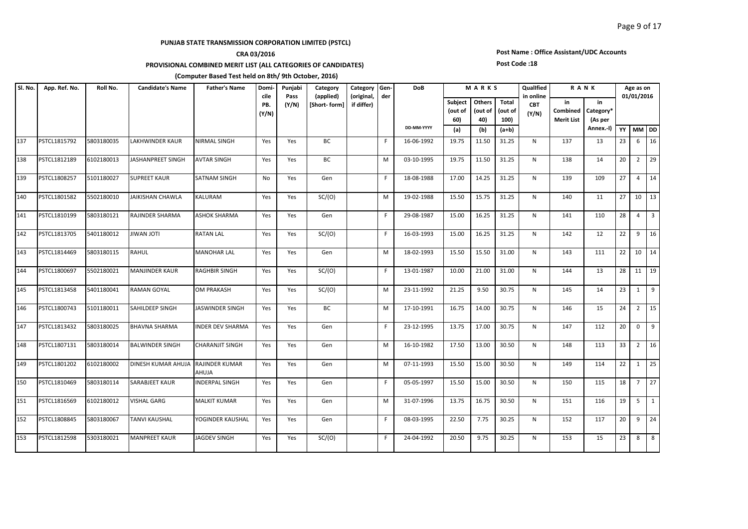## **CRA 03/2016**

**PROVISIONAL COMBINED MERIT LIST (ALL CATEGORIES OF CANDIDATES)** 

#### **(Computer Based Test held on 8th/ 9th October, 2016)**

#### **Subject (out of 60) Others (out of 40) Total (out of 100) (a) (b) (a+b) YY MM DD Candidate's Name Father's Name Domicile PB. (Y/N) Father's Name Domi- Punjabi Pass (Y/N) R A N K Age as on 01/01/2016 in Combined Merit List in Category\* (As per Annex.-I) Category (applied) [Short- form] Category (original, if differ) Gender DoB DD-MM-YYYY M A R K S QualIfied in online CBT (Y/N) Sl. No. App. Ref. No. Roll No.** 137 PSTCL1815792 5803180035 LAKHWINDER KAUR NIRMAL SINGH Yes Yes BC F 16-06-1992 19.75 11.50 31.25 N 137 13 23 6 16 138 PSTCL1812189 6102180013 JASHANPREET SINGH |AVTAR SINGH | Yes | Yes | BC | | | M | 03-10-1995 | 19.75 | 11.50 | 31.25 | N | 138 | 14 |20 | 2 |29 139 PSTCL1808257 5101180027 SUPREET KAUR SATNAM SINGH No Yes Gen F 18-08-1988 17.00 14.25 31.25 N 139 109 27 4 14 140 PSTCL1801582 5502180010 JAIKISHAN CHAWLA KALURAM Yes Yes SC/(O) M 19-02-1988 15.50 15.75 31.25 N 140 11 27 10 13 141 PSTCL1810199 5803180121 RAJINDER SHARMA ASHOK SHARMA Yes Yes Gen F 29-08-1987 15.00 16.25 31.25 N 141 110 28 4 3 142 PSTCL1813705 5401180012 JIWAN JOTI RATAN LAL Yes Yes SC/(O) F 16-03-1993 15.00 16.25 31.25 N 142 12 22 9 16 143 PSTCL1814469 5803180115 RAHUL MANOHAR LAL Yes Yes Gen M 18-02-1993 15.50 15.50 31.00 N 143 111 22 10 14 144 PSTCL1800697 5502180021 MANJINDER KAUR RAGHBIR SINGH Yes Yes SC/(O) F 13-01-1987 10.00 21.00 31.00 N 144 13 28 11 19 145 PSTCL1813458 5401180041 RAMANGOYAL |OM PRAKASH | Yes | Yes | SC/(O) | MI 23-11-1992 | 21.25 | 9.50 | 30.75 | N | 145 | 14 |23 | 1 |9 146 PSTCL1800743 5101180011 SAHILDEEP SINGH JASWINDER SINGH Yes Yes BC M 17-10-1991 16.75 14.00 30.75 N 146 15 24 2 15 147 PSTCL1813432 S803180025 BHAVNA SHARMA |INDER DEV SHARMA | Yes | Yes | Gen | | | | | | 23-12-1995 | 13.75 | 17.00 | 30.75 | N | 147 | 112 | 20 | 0 | 9 148 PSTCL1807131 5803180014 BALWINDER SINGH CHARANJIT SINGH Yes Yes Gen M 16-10-1982 17.50 13.00 30.50 N 148 113 33 2 16 149 PSTCL1801202 6102180002 DINESH KUMAR AHUJA RAJINDER KUMAR AHUJA Yes Yes Gen M 07-11-1993 15.50 15.00 30.50 N 149 114 22 1 25 150 PSTCL1810469 5803180114 SARABJEET KAUR INDERPAL SINGH Yes Yes Gen F 05-05-1997 15.50 15.00 30.50 N 150 115 18 7 27 151 PSTCL1816569 6102180012 VISHAL GARG MALKIT KUMAR Yes Yes Gen M 31-07-1996 13.75 16.75 30.50 N 151 116 19 5 1 152 PSTCL1808845 5803180067 TANVI KAUSHAL YOGINDER KAUSHAL Yes Yes Gen F 08-03-1995 22.50 7.75 30.25 N 152 117 20 9 24 153 PSTCL1812598 5303180021 MANPREET KAUR |JAGDEV SINGH | Yes | Yes | SC/(O) | | F | 24-04-1992 | 20.50 | 9.75 | 30.25 | N | 153 | 15 |23 | 8 |8

# **Post Name : Office Assistant/UDC Accounts**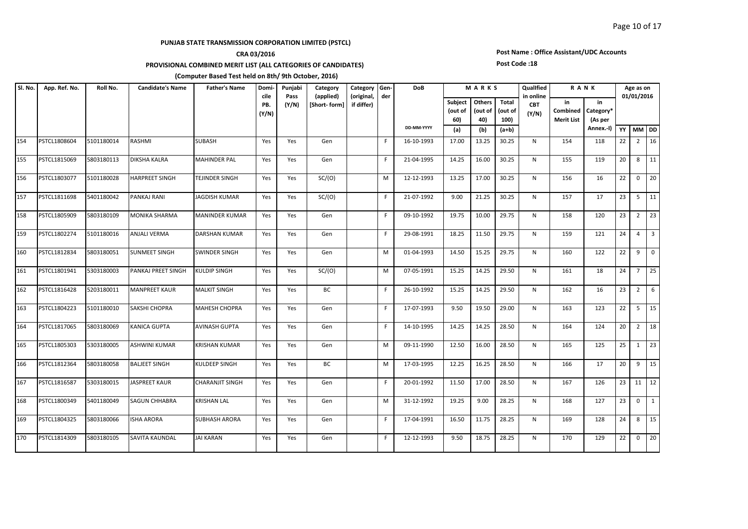### **CRA 03/2016**

**PROVISIONAL COMBINED MERIT LIST (ALL CATEGORIES OF CANDIDATES)** 

#### **(Computer Based Test held on 8th/ 9th October, 2016)**

#### **Subject (out of 60) Others (out of 40) Total (out of 100) (a) (b) (a+b) YY MM DD Candidate's Name Father's Name Domicile PB. (Y/N) Father's Name Domi- Punjabi Pass (Y/N) R A N K Age as on 01/01/2016 in Combined Merit List in Category\* (As per Annex.-I) Category (applied) [Short- form] Category (original, if differ) Gender DoB DD-MM-YYYY M A R K S QualIfied in online CBT (Y/N) Sl. No. App. Ref. No. Roll No.** 154 PSTCL1808604 5101180014 RASHMI SUBASH Yes | Yes | Gen | F | 16-10-1993 | 17.00 | 13.25 | 30.25 | N | 154 | 118 | 22 | 2 | 16 155 PSTCL1815069 5803180113 DIKSHA KALRA MAHINDER PAL Yes Yes Gen F 21-04-1995 14.25 16.00 30.25 N 155 119 20 8 11 156 PSTCL1803077 5101180028 HARPREET SINGH TEJINDER SINGH Yes Yes SC/(O) M M 12-12-1993 13.25 17.00 30.25 N 156 16 22 0 20 157 PSTCL1811698 5401180042 PANKAJ RANI JAGDISH KUMAR Yes Yes SC/(O) F 21-07-1992 9.00 21.25 30.25 N 157 17 23 5 11 158 PSTCL1805909 5803180109 MONIKA SHARMA MANINDER KUMAR Yes Yes Gen F F 09-10-1992 19.75 10.00 29.75 N 158 120 23 2 23 159 PSTCL1802274 5101180016 ANJALI VERMA DARSHAN KUMAR Yes Yes Gen F 29-08-1991 18.25 11.50 29.75 N 159 121 24 4 3 160 PSTCL1812834 5803180051 SUNMEET SINGH SWINDER SINGH Yes Yes Gen M M 01-04-1993 14.50 15.25 29.75 N 160 122 22 9 0 161 PSTCL1801941 5303180003 PANKAJ PREET SINGH KULDIP SINGH Yes Yes SC/(O) M M 07-05-1991 15.25 14.25 29.50 N 161 18 24 7 25 162 PSTCL1816428 5203180011 MANPREET KAUR MALKIT SINGH | Yes | Yes | BC | | | | 26-10-1992 | 15.25 | 14.25 | 29.50 | N | 162 | 16 |23 | 2 | 6 163 PSTCL1804223 5101180010 SAKSHI CHOPRA MAHESH CHOPRA Yes Yes Gen F 17-07-1993 9.50 19.50 29.00 N 163 123 22 5 15 164 PSTCL1817065 5803180069 KANICA GUPTA AVINASH GUPTA Yes Yes Gen F 14-10-1995 14.25 14.25 28.50 N 164 124 20 2 18 165 PSTCL1805303 5303180005 ASHWINI KUMAR KRISHAN KUMAR Yes Yes Gen M M 09-11-1990 12.50 16.00 28.50 N 165 125 25 1 23 166 PSTCL1812364 5803180058 BALJEET SINGH KULDEEP SINGH Yes Yes BC M 17-03-1995 12.25 16.25 28.50 N 166 17 20 9 15 167 PSTCL1816587 5303180015 JASPREET KAUR CHARANJIT SINGH Yes Yes Gen F F 20-01-1992 11.50 17.00 28.50 N 167 126 23 11 12 168 PSTCL1800349 [5401180049 |SAGUN<code>CHHABRA |</code>KRISHAN<code>LAL |</code>Yes | Yes | Gen | M | 31-12-1992 | 19.25 | 9.00 | 28.25 | N | 168 | 127 | 23 | 0 | 1 169 PSTCL1804325 5803180066 ISHA ARORA SUBHASH ARORA Yes Yes Gen F 17-04-1991 16.50 11.75 28.25 N 169 128 24 8 15 170 PSTCL1814309 5803180105 SAVITA KAUNDAL JAI KARAN Yes Yes Gen F 12-12-1993 9.50 18.75 28.25 N 170 129 22 0 20

# **Post Name : Office Assistant/UDC Accounts**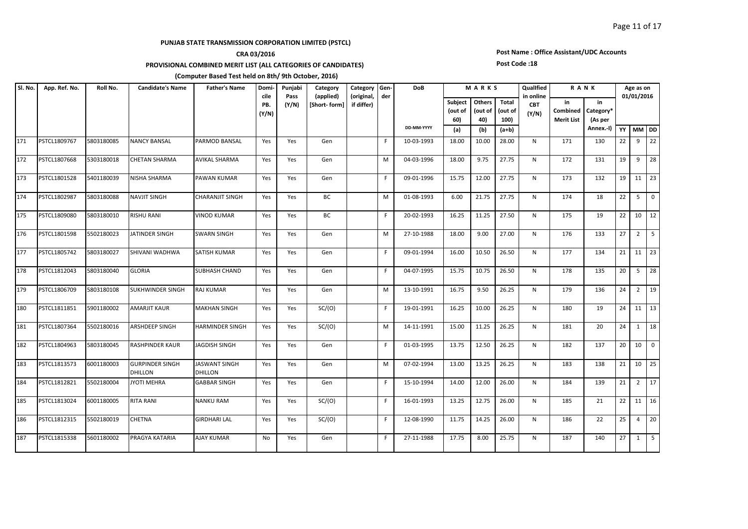## **CRA 03/2016**

**PROVISIONAL COMBINED MERIT LIST (ALL CATEGORIES OF CANDIDATES)** 

#### **(Computer Based Test held on 8th/ 9th October, 2016)**

#### **Subject (out of 60) Others (out of 40) Total (out of 100) (a) (b) (a+b) YY MM DD Candidate's Name Father's Name Domicile PB. (Y/N) Father's Name Domi- Punjabi Pass (Y/N) R A N K Age as on 01/01/2016 in Combined Merit List in Category\* (As per Annex.-I) Category (applied) [Short- form] Category (original, if differ) Gender DoB DD-MM-YYYY M A R K S QualIfied in online CBT (Y/N) Sl. No. App. Ref. No. Roll No.** 171 PSTCL1809767 5803180085 NANCY BANSAL PARMOD BANSAL Yes Yes Gen F 10-03-1993 18.00 10.00 28.00 N 171 130 22 9 22 172 PSTCL1807668 5303180018 CHETAN SHARMA AVIKAL SHARMA Yes Yes Gen M M 04-03-1996 18.00 9.75 27.75 N 172 131 19 9 28 173 PSTCL1801528 5401180039 NISHA SHARMA PAWAN KUMAR Yes Yes Gen F 09-01-1996 15.75 12.00 27.75 N 173 132 19 11 23 174 PSTCL1802987 S803180088 NAVJITSINGH CHARANJITSINGH | Yes | Yes | BC | M | 01-08-1993 | 6.00 | 21.75 | 27.75 | N | 174 | 18 | 22 | 5 | 0 175 PSTCL1809080 5803180010 RISHU RANI VINOD KUMAR Yes Yes BC F 20-02-1993 16.25 11.25 27.50 N 175 19 22 10 12 176 PSTCL1801598 5502180023 JJATINDER SINGH SWARN SINGH | Yes | Yes | Gen | M | 27-10-1988 | 18.00 | 9.00 | 27.00 | N | 176 | 133 |27 | 2 | 5 177 PSTCL1805742 5803180027 SHIVANI WADHWA SATISH KUMAR Yes Yes Gen F 09-01-1994 16.00 10.50 26.50 N 177 134 21 11 23 178 PSTCL1812043 5803180040 GLORIA SUBHASH CHAND Yes Yes Gen | | | F 04-07-1995 | 15.75 | 10.75 | 26.50 | N | 178 | 135 | 20 | 5 | 28 179 PSTCL1806709 5803180108 SUKHWINDER SINGH RAJ KUMAR Yes Yes Gen M 13-10-1991 16.75 9.50 26.25 N 179 136 24 2 19 180 PSTCL1811851 5901180002 AMARJIT<code>KAUR MAKHAN</code> SINGH Yes Yes SC/(O) F F 19-01-1991 16.25 10.00 26.25 N 180 19 24 11 13 181 PSTCL1807364 5502180016 ARSHDEEP SINGH HARMINDER SINGH Yes Yes SC/(O) M M 14-11-1991 15.00 11.25 26.25 N 181 20 24 1 18 182 PSTCL1804963 S803180045 RASHPINDER KAUR JAGDISH SINGH | Yes | Yes | Gen | | | | 01-03-1995 | 13.75 | 12.50 | 26.25 | N | 182 | 137 | 20 | 10 | 0 183 PSTCL1813573 6001180003 GURPINDER SINGH DHILLON JASWANT SINGH DHILLON Yes Yes Gen M 07-02-1994 13.00 13.25 26.25 N 183 138 21 10 25 184 PSTCL1812821 5502180004 JYOTI MEHRA GABBAR SINGH Yes Yes Gen F 15-10-1994 14.00 12.00 26.00 N 184 139 21 2 17 185 PSTCL1813024 6001180005 RITA RANI MANKU RAM |Yes Yes SC/(O) | |F |16-01-1993 |13.25 |12.75 |26.00 | N | 185 | 21 |22 |11 |16 186 PSTCL1812315 5502180019 CHETNA GIRDHARI LAL Yes Yes SC/(O) F 12-08-1990 11.75 14.25 26.00 N 186 22 25 4 20 187 PSTCL1815338 5601180002 PRAGYA<code>KATARIA AJAY</code> KUMAR No Yes Gen F F 27-11-1988 17.75 8.00 25.75 N 187 140 27 1 5

# **Post Name : Office Assistant/UDC Accounts**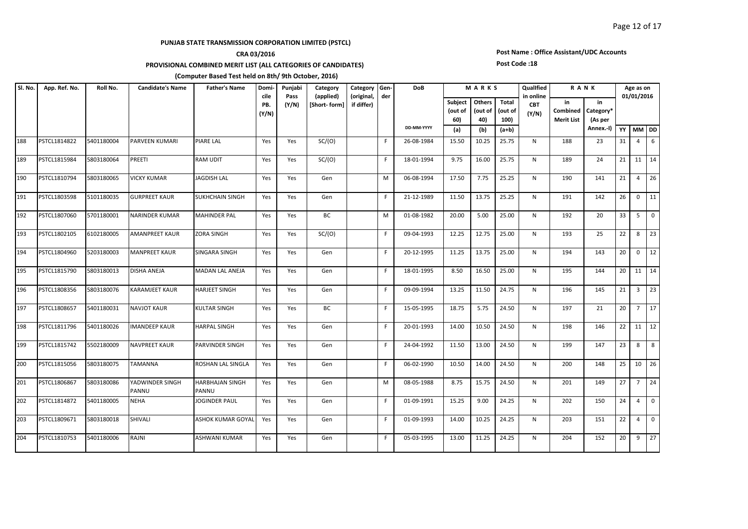## **CRA 03/2016**

**PROVISIONAL COMBINED MERIT LIST (ALL CATEGORIES OF CANDIDATES)** 

#### **(Computer Based Test held on 8th/ 9th October, 2016)**

#### **Subject (out of 60) Others (out of 40) Total (out of 100) (a) (b) (a+b) YY MM DD Candidate's Name Father's Name Domicile PB. (Y/N) Father's Name Domi- Punjabi Pass (Y/N) R A N K Age as on 01/01/2016 in Combined Merit List in Category\* (As per Annex.-I) Category (applied) [Short- form] Category (original, if differ) Gender DoB DD-MM-YYYY M A R K S QualIfied in online CBT (Y/N) Sl. No. App. Ref. No. Roll No.** 188 PSTCL1814822 5401180004 PARVEEN KUMARI PIARE LAL | Yes | Yes | SC/(O) | | F | 26-08-1984 | 15.50 | 10.25 | 25.75 | N | 188 | 23 | 31 | 4 | 6 189 PSTCL1815984 5803180064 PREETI RAM UDIT Yes Yes SC/(O) F 18-01-1994 9.75 16.00 25.75 N 189 24 21 11 14 190 PSTCL1810794 5803180065 VICKY KUMAR JAGDISH LAL Yes Yes Gen M 06-08-1994 17.50 7.75 25.25 N 190 141 21 4 26 191 PSTCL1803598 5101180035 GURPREET KAUR SUKHCHAIN SINGH Yes Yes Gen F 21-12-1989 11.50 13.75 25.25 N 191 142 26 0 11 192 PSTCL1807060 5701180001 NARINDER KUMAR MAHINDER PAL Yes Yes BC M M 01-08-1982 20.00 5.00 25.00 N 192 20 33 5 193 PSTCL1802105 6102180005 AMANPREET KAUR ZORA SINGH Yes Yes SC/(O) F 09-04-1993 12.25 12.75 25.00 N 193 25 22 8 23 194 PSTCL1804960 5203180003 MANPREET KAUR SINGARA SINGH Yes Yes Gen F 20-12-1995 11.25 13.75 25.00 N 194 143 20 0 12 195 PSTCL1815790 5803180013 DISHA ANEJA MADAN LAL ANEJA Yes Yes Gen F 18-01-1995 8.50 16.50 25.00 N 195 144 20 11 14 196 PSTCL1808356 5803180076 KARAMJEET KAUR HARJEET SINGH Yes Yes Gen F 09-09-1994 13.25 11.50 24.75 N 196 145 21 3 23 197 PSTCL1808657 5401180031 NAVJOT KAUR KULTAR SINGH Yes Yes BC F F 15-05-1995 18.75 5.75 24.50 N 197 21 20 7 17 198 PSTCL1811796 5401180026 IMANDEEP KAUR HARPAL SINGH Yes Yes Gen F 20-01-1993 14.00 10.50 24.50 N 198 146 22 11 12 199 PSTCL1815742 5502180009 NAVPREET\_KAUR PARVINDER\_SINGH Yes Yes Gen | F| 24-04-1992 |11.50 |13.00 |24.50 | N | 199 | 147 |23 | 8 |8 200 PSTCL1815056 5803180075 TAMANNA ROSHAN<code>LAL</code> SINGLA Yes Yes Gen F F 06-02-1990 10.50 14.00 24.50 N 200 148 25 10 26 201 PSTCL1806867 5803180086 YADWINDER SINGH PANNU HARBHAJAN SINGH PANNU Yes | Yes | Gen | | | | | | 08-05-1988 | 8.75 | 15.75 | 24.50 | N | | 201 | | 149 | 27 | 7 | 24 202 PSTCL1814872 5401180005 NEHA JJOGINDER PAUL Yes Yes Gen | F| 01-09-1991 | 15.25 | 9.00 | 24.25 | N | 202 | 150 | 24 | 4 | 0 203 PSTCL1809671 5803180018 SHIVALI ASHOK KUMAR GOYAL Yes Yes Gen | F 01-09-1993 14.00 10.25 24.25 N 203 151 22 4 0 204 PSTCL1810753 5401180006 RAJNI ASHWANI<code>KUMAR |</code> Yes Yes Gen | | | F | 05-03-1995 | 13.00 | 11.25 | 24.25 | N | 204 | 152 | 20 | 9 | 27

# **Post Name : Office Assistant/UDC Accounts**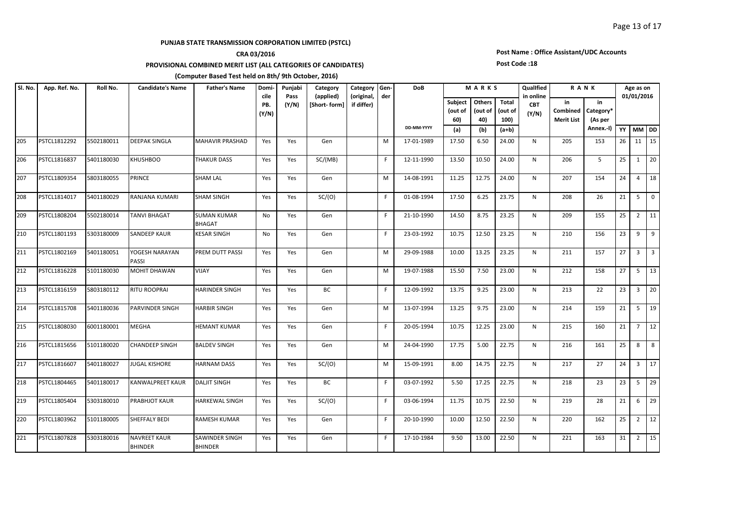## **CRA 03/2016**

**PROVISIONAL COMBINED MERIT LIST (ALL CATEGORIES OF CANDIDATES)** 

#### **(Computer Based Test held on 8th/ 9th October, 2016)**

#### **Subject (out of 60) Others (out of 40) Total (out of 100) (a) (b) (a+b) YY MM DD Candidate's Name Father's Name Domicile PB. (Y/N) Father's Name Domi- Punjabi Pass (Y/N) R A N K Age as on 01/01/2016 in Combined Merit List in Category\* (As per Annex.-I) Category (applied) [Short- form] Category (original, if differ) Gender DoB DD-MM-YYYY M A R K S QualIfied in online CBT (Y/N) Sl. No. App. Ref. No. Roll No.** 205 PSTCL1812292 5502180011 DEEPAK SINGLA MAHAVIR PRASHAD Yes Yes Gen M 17-01-1989 17.50 6.50 24.00 N 205 153 26 11 15 206 PSTCL1816837 5401180030 |KHUSHBOO THAKUR DASS | Yes | SC/(MB) | | F | 12-11-1990 | 13.50 | 10.50 | 24.00 | N | 206 | 5 | 25 | 1 | 20 207 PSTCL1809354 5803180055 PRINCE SHAM LAL Yes Yes Gen | |M | 14-08-1991 | 11.25 | 12.75 | 24.00 | N | 207 | 154 | 24 | 4 | 18 208 PSTCL1814017 5401180029 RANJANA KUMARI SHAM SINGH | Yes | Yes | SC/(O) | | | | | 01-08-1994 | 17.50 | 6.25 | 23.75 | N | 208 | 26 |21 | 5 |0 209 PSTCL1808204 5502180014 TANVI BHAGAT SUMAN KUMAR BHAGAT No | Yes | Gen | | | | | 21-10-1990 | 14.50 | 8.75 | 23.25 | N | 209 | 155 | 25 | 2 | 11 210 PSTCL1801193 5303180009 SANDEEP KAUR KESAR SINGH | No | Yes | Gen | F | 23-03-1992 | 10.75 | 12.50 | 23.25 |  N |  210 |  156 | 23 | 9 | 9 211 PSTCL1802169 5401180051 YOGESH NARAYAN PASSI PREM DUTT PASSI | Yes | Yes | Gen | | | | M | 29-09-1988 | 10.00 | 13.25 | 23.25 | N | 211 | 157 | 27 | 3 | 3 212 PSTCL1816228 5101180030 |MOHIT DHAWAN |VIJAY | Yes Yes Gen | | | M | 19-07-1988 | 15.50 | 7.50 | 23.00 | N | 212 | 158 |27 | 5 |13 213 PSTCL1816159 5803180112 RITU ROOPRAI HARINDER SINGH | Yes | Yes | BC | | F | 12-09-1992 | 13.75 | 9.25 | 23.00 | N | 213 | 22 | 23 | 3 | 20 214 PSTCL1815708 5401180036 PARVINDER SINGH HARBIR SINGH | Yes | Yes | Gen | | | |M | 13-07-1994 | 13.25 | 9.75 | 23.00 | N | 214 | 159 |21 | 5 |19 215 PSTCL1808030 6001180001 MEGHA HEMANT KUMAR | Yes | Yes | Gen | | | F | 20-05-1994 | 10.75 | 12.25 | 23.00 | N | 215 | 160 |21 | 7 |12 216 PSTCL1815656 5101180020 CHANDEEP\_SINGH BALDEV\_SINGH | Yes | Yes | Gen | M | 24-04-1990 | 17.75 | 5.00 | 22.75 | N | 216 | 161 |25 | 8 | 8 217 PSTCL1816607 5401180027 JUGAL KISHORE HARNAM DASS | Yes | Sc/(O) | | M | 15-09-1991 | 8.00 | 14.75 | 22.75 | N | 217 | 27 | 24 | 3 | 17 218 PSTCL1804465 5401180017 KANWALPREET KAUR DALJIT SINGH Yes Yes BC F 03-07-1992 5.50 17.25 22.75 N 218 23 23 5 29 219 PSTCL1805404 5303180010 PRABHJOT KAUR HARKEWAL SINGH Yes Yes SC/(O) F 03-06-1994 11.75 10.75 22.50 N 219 28 21 6 29 220 PSTCL1803962 5101180005 SHEFFALY BEDI RAMESH KUMAR Yes Yes Gen F F 20-10-1990 10.00 12.50 2.50 N 220 162 25 2 12 221 PSTCL1807828 5303180016 NAVREET KAUR BHINDER SAWINDER SINGH BHINDER Yes | Yes | Gen | | | | 17-10-1984 | 9.50 | 13.00 | 22.50 | N | 221 | 163 |31 | 2 |15

# **Post Name : Office Assistant/UDC Accounts**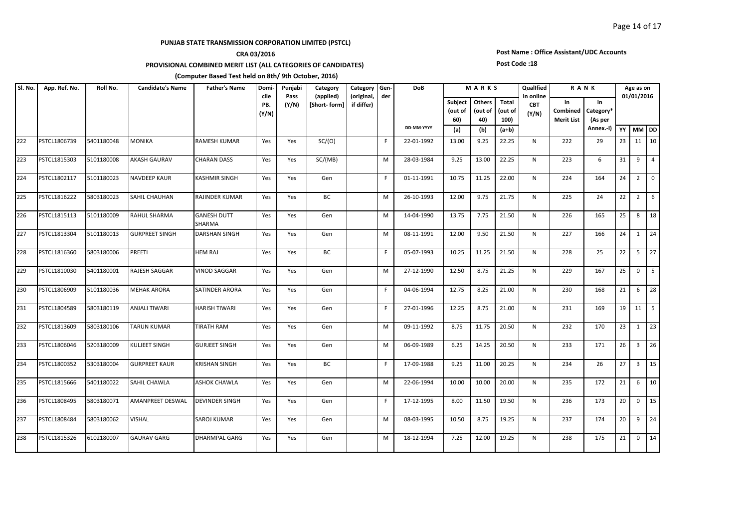## **CRA 03/2016**

**PROVISIONAL COMBINED MERIT LIST (ALL CATEGORIES OF CANDIDATES)** 

#### **(Computer Based Test held on 8th/ 9th October, 2016)**

#### **Subject (out of 60) Others (out of 40) Total (out of 100) (a) (b) (a+b) YY MM DD Candidate's Name Father's Name Domicile PB. (Y/N) Father's Name Domi- Punjabi Pass (Y/N) R A N K Age as on 01/01/2016 in Combined Merit List in Category\* (As per Annex.-I) Category (applied) [Short- form] Category (original, if differ) Gender DoB DD-MM-YYYY M A R K S QualIfied in online CBT (Y/N) Sl. No. App. Ref. No. Roll No.** 222 PSTCL1806739 5401180048 MONIKA RAMESH KUMAR Yes Yes SC/(O) | F 22-01-1992 13.00 9.25 22.25 N 222 222 29 23 11 10 223 PSTCL1815303 5101180008 |AKASH GAURAV CHARAN DASS | Yes | SC/(MB) | | M | 28-03-1984 | 9.25 | 13.00 | 22.25 | N | 223 | 6 | 31 | 9 | 4 224 PSTCL1802117 5101180023 NAVDEEP KAUR KASHMIR SINGH Yes Yes Gen | F| 01-11-1991 | 10.75 | 11.25 | 22.00 | N | 224 | 164 | 24 | 2 | 0 225 PSTCL1816222 S803180023 SAHILCHAUHAN RAJINDER KUMAR Yes Yes BC M M 26-10-1993 12.00 9.75 21.75 N 225 24 22 26 226 PSTCL1815113 5101180009 RAHUL SHARMA GANESH DUTT SHARMA Yes Yes Gen M 14-04-1990 13.75 7.75 21.50 N 226 165 25 8 18 227 PSTCL1813304 5101180013 GURPREET SINGH DARSHAN SINGH | Yes | Yes | Gen | | |M | 08-11-1991 | 12.00 | 9.50 | 21.50 | N | 227 | 166 |24 | 1 |24 228 PSTCL1816360 5803180006 PREETI HEM RAJ Yes Yes BC F 05-07-1993 10.25 11.25 21.50 N 228 25 22 5 27 229 PSTCL1810030 5401180001 RAJESH SAGGAR WINOD SAGGAR Yes Yes Gen M M 27-12-1990 12.50 8.75 21.25 N 229 167 25 0 5 230 PSTCL1806909 5101180036 MEHAK ARORA SATINDER ARORA Yes Yes Gen F F 04-06-1994 12.75 8.25 21.00 N 230 168 21 6 28 231 PSTCL1804589 5803180119 ANJALITIWARI |HARISHTIWARI |Yes |Yes | Gen | |F |27-01-1996 |12.25 |8.75 |21.00 | N | 231 | 169 |19 |11 |5 232 PSTCL1813609 5803180106 TARUN KUMAR TIRATH RAM Yes Yes Gen M 09-11-1992 8.75 11.75 20.50 N 232 170 23 1 23 233 PSTCL1806046 5203180009 KULJEET SINGH GURJEET SINGH | Yes | Yes | Gen |  | M | 06-09-1989 | 6.25 | 14.25 | 20.50 |  N |  233 |  171 | 26 | 3 | 26 234 PSTCL1800352 5303180004 GURPREET KAUR KRISHAN SINGH Yes Yes BC F 17-09-1988 9.25 11.00 20.25 N 234 26 27 3 15 235 PSTCL1815666 5401180022 SAHILCHAWLA ASHOK CHAWLA | Yes | Yes | Gen | M | 22-06-1994 | 10.00 | 10.00 | 20.00 | N | 235 | 172 |21 | 6 |10 236 PSTCL1808495 5803180071 |AMANPREET DESWAL |DEVINDER SINGH | Yes | Gen | | | F | 17-12-1995 | 8.00 | 11.50 | 19.50 | N | 236 | 173 | 20 | 0 | 15 237 PSTCL1808484 5803180062 VISHAL SAROJ KUMAR Yes Yes Gen M 08-03-1995 10.50 8.75 19.25 N 237 174 20 9 24 238 PSTCL1815326 6102180007 GAURAV GARG DHARMPAL GARG Yes Yes Gen M 18-12-1994 7.25 12.00 19.25 N 238 175 21 0 14

# **Post Name : Office Assistant/UDC Accounts**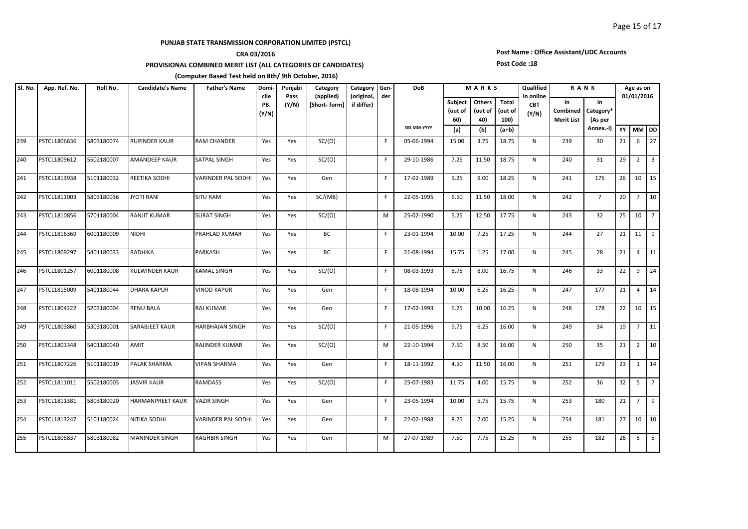## **CRA 03/2016**

**PROVISIONAL COMBINED MERIT LIST (ALL CATEGORIES OF CANDIDATES)** 

#### **(Computer Based Test held on 8th/ 9th October, 2016)**

#### **Subject (out of 60) Others (out of 40) Total (out of 100) (a) (b) (a+b) YY MM DD Candidate's Name Father's Name Domicile PB. (Y/N) Father's Name Domi- Punjabi Pass (Y/N) R A N K Age as on 01/01/2016 in Combined Merit List in Category\* (As per Annex.-I) Category (applied) [Short- form] Category (original, if differ) Gender DoB DD-MM-YYYY M A R K S QualIfied in online CBT (Y/N) Sl. No. App. Ref. No. Roll No.** 239 PSTCL1806636 S803180074 RUPINDER KAUR RAM CHANDER Yes Yes SC/(O) | F| 05-06-1994 | 15.00 | 3.75 | 18.75 | N | 239 | 30 | 21 | 6 | 27 240 PSTCL1809612 5502180007 |AMANDEEP KAUR SATPAL SINGH | Yes | Yes | SC/(O) | | | | | | 29-10-1986 | 7.25 | 11.50 | 18.75 | N | 240 | 31 |29 | 2 | 3 241 PSTCL1813938 5101180032 REETIKA SODHI VARINDER PAL SODHI Yes Yes Gen F 17-02-1989 9.25 9.00 18.25 N 241 176 26 10 15 242 PSTCL1811003 5803180036 JYOTIRANI SITURAM Yes Yes SC/(MB) F [ 22-05-1995 | 6.50 | 11.50 | 18.00 | N | 242 | 7 |20 | 7 |10 243 PSTCL1810856 5701180004 RANJIT KUMAR SURAT SINGH Yes Yes SC/(O) M 25-02-1990 5.25 12.50 17.75 N 243 32 25 10 7 244 PSTCL1816369 6001180009 NIDHI PRAHLAD<code>KUMAR |</code>Yes | Yes | BC | |F | 23-01-1994 | 10.00 | 7.25 | 17.25 | N | 244 | 27 |21 |11 |9 245 PSTCL1809297 5401180033 RADHIKA PARKASH Yes Yes BC | F 21-08-1994 |15.75 |1.25 |17.00 | N | 245 | 28 |21 |4 |11 246 PSTCL1801257 6001180008 KULWINDER KAUR KAMAL SINGH Yes Yes SC/(O) | F| 08-03-1993 8.75 | 8.00 | 16.75 | N | 246 | 33 | 22 | 9 | 24 247 PSTCL1815009 5401180044 DHARA KAPUR VINOD KAPUR Yes Yes Gen F 18-08-1994 10.00 6.25 16.25 N 247 177 21 4 14 248 PSTCL1804222 5203180004 RENU BALA RAJ KUMAR Yes Yes Gen F F 17-02-1993 6.25 10.00 16.25 N 248 178 22 10 15 249 PSTCL1803860 5303180001 SARABJEET KAUR HARBHAJAN SINGH Yes Yes SC/(O) F 21-05-1996 9.75 6.25 16.00 N 249 34 19 7 11 250 PSTCL1801348 5401180040 AMIT RAJINDER KUMAR Yes Yes SC/(O) | |M 22-10-1994 7.50 8.50 16.00 | N | 250 | 35 |21 |2 |10 251 PSTCL1807226 5101180019 PALAK SHARMA | VIPAN SHARMA | Yes | Gen | | | F | 18-11-1992 | 4.50 | 11.50 | 16.00 | N | 251 | 179 |23 | 1 |14 252 PSTCL1811011 5502180003 JJASVIR<code>KAUR RAMDASS |</code>Yes | Yes | SC/(O) | | F | 25-07-1983 | 11.75 | 4.00 | 15.75 | N | 252 | 36 | 32 | 5 | 7 253 PSTCL1811381 5803180020 |HARMANPREET KAUR |VAZIR SINGH | Yes | Yes | Gen | | | | | | 23-05-1994 | 10.00 | 5.75 | 15.75 | N | 253 | 180 |21 | 7 |9 254 PSTCL1813247 5101180024 NITIKA SODHI VARINDER PAL SODHI Yes Yes Gen F 22-02-1988 8.25 7.00 15.25 N 254 181 27 10 10 255 PSTCL1805837 S803180082 MANINDER SINGH RAGHBIR SINGH | Yes | Yes | Gen | M | 27-07-1989 | 7.50 | 7.75 | 15.25 | N | 255 | 182 |26 | 5 | 5

# **Post Name : Office Assistant/UDC Accounts**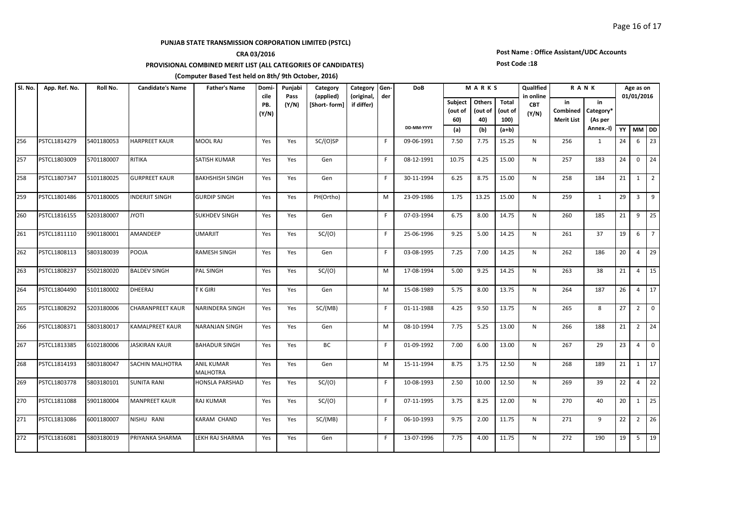## **CRA 03/2016**

**PROVISIONAL COMBINED MERIT LIST (ALL CATEGORIES OF CANDIDATES)** 

#### **(Computer Based Test held on 8th/ 9th October, 2016)**

#### **Subject (out of 60) Others (out of 40) Total (out of 100) (a) (b) (a+b) YY MM DD Candidate's Name Father's Name Domicile PB. (Y/N) Father's Name Domi-** Punjabi **Pass (Y/N) R A N K Age as on 01/01/2016 in Combined Merit List in Category\* (As per Annex.-I) Category (applied) [Short- form] Category (original, if differ) Gender DoB DD-MM-YYYY M A R K S QualIfied in online CBT (Y/N) Sl. No. App. Ref. No. Roll No.** 256 PSTCL1814279 5401180053 |HARPREET KAUR | MOOL RAJ | Yes | Yes | SC/(O)SP | | | | | | 09-06-1991 | 7.50 | 7.75 | 15.25 | N | 256 | 1 | 24 | 6 | 23 257 PSTCL1803009 5701180007 RITIKA SATISH KUMAR | Yes | Yes | Gen | | F | 08-12-1991 | 10.75 | 4.25 | 15.00 | N | 257 | 183 |24 | 0 |24 258 PSTCL1807347 5101180025 GURPREET KAUR BAKHSHISH SINGH Yes Yes Gen | F| 30-11-1994 6.25 8.75 15.00 N | 258 | 184 |21 | 1 | 2 259 PSTCL1801486 5701180005 INDERJIT SINGH GURDIP SINGH | Yes | Yes | PH(Ortho) | | M | 23-09-1986 | 1.75 | 13.25 | 15.00 | N | 259 | 1 |29 | 3 |9 260 PSTCL1816155 5203180007 JVOTI SUKHDEV SINGH Yes Yes Gen | | F 07-03-1994 6.75 | 8.00 | 14.75 | N | 260 | 185 |21 | 9 |25 261 PSTCL1811110 5901180001 AMANDEEP UMARJIT |Yes | Yes | SC/(O) | |F | 25-06-1996 |9.25 |5.00 |14.25 | N | 261 | 37 |19 |6 |7 262 PSTCL1808113 5803180039 POOJA RAMESH SINGH Yes Yes Gen F 03-08-1995 7.25 7.00 14.25 N 262 186 20 4 29 263 PSTCL1808237 5502180020 BALDEV SINGH PAL SINGH | Yes |  Yes |  SC/(O) |  |  M |  17-08-1994 |  5.00 |  9.25 |  14.25 |  N |  263 |  38 |  21 |  4 | 15 264 PSTCL1804490 5101180002 DHEERAJ TKGIRI | Yes Yes Gen | | | M | 15-08-1989 | 5.75 | 8.00 | 13.75 | N | 264 | 187 | 26 | 4 | 17 265 PSTCL1808292 S203180006 CHARANPREET KAUR NARINDERA SINGH | Yes | Yes | SC/(MB) | | F | 01-11-1988 | 4.25 | 9.50 | 13.75 | N | 265 | 8 |27 | 2 |0 266 PSTCL1808371 5803180017 KAMALPREET KAUR NARANJAN SINGH Yes Yes Gen M 108-10-1994 7.75 5.25 13.00 N 266 188 21 2 24 267 PSTCL1813385 6102180006 JJASKIRAN KAUR BAHADUR SINGH Yes Yes BC | F|01-09-1992 7.00 6.00 |13.00 | N | 267 | 29 |23 |4 |0 268 PSTCL1814193 5803180047 SACHIN MALHOTRA ANIL KUMAR MALHOTRA Yes | Yes | Gen | | || || || 15-11-1994 || 8.75 || 3.75 || 12.50 || || N || || 268 || || 189 || 21 || 1|| 17 269 PSTCL1803778 5803180101 SUNITA RANI HONSLA PARSHAD Yes Yes SC/(O) F 10-08-1993 2.50 10.00 12.50 N 269 39 22 4 22 270 PSTCL1811088 5901180004 MANPREET KAUR RAJ KUMAR Yes Yes SC/(O) | F | 07-11-1995 | 3.75 | 8.25 | 12.00 | N | 270 | 40 |20 | 1 |25 271 PSTCL1813086 6001180007 NISHU RANI KARAM CHAND | Yes | Yes | SC/(MB) | | F | 06-10-1993 | 9.75 | 2.00 | 11.75 | N | 271 | 9 | 22 | 2 | 26 272 PSTCL1816081 5803180019 PRIYANKA SHARMA LEKH RAJ SHARMA Yes Yes Gen F F 13-07-1996 7.75 4.00 11.75 N 272 190 19 5 19

# **Post Name : Office Assistant/UDC Accounts**